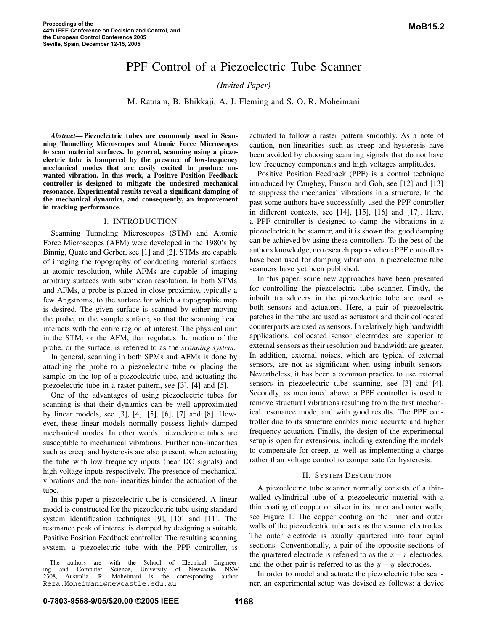# PPF Control of a Piezoelectric Tube Scanner

*(Invited Paper)*

M. Ratnam, B. Bhikkaji, A. J. Fleming and S. O. R. Moheimani

*Abstract***— Piezoelectric tubes are commonly used in Scanning Tunnelling Microscopes and Atomic Force Microscopes to scan material surfaces. In general, scanning using a piezoelectric tube is hampered by the presence of low-frequency mechanical modes that are easily excited to produce unwanted vibration. In this work, a Positive Position Feedback controller is designed to mitigate the undesired mechanical resonance. Experimental results reveal a significant damping of the mechanical dynamics, and consequently, an improvement in tracking performance.**

# I. INTRODUCTION

Scanning Tunneling Microscopes (STM) and Atomic Force Microscopes (AFM) were developed in the 1980's by Binnig, Quate and Gerber, see [1] and [2]. STMs are capable of imaging the topography of conducting material surfaces at atomic resolution, while AFMs are capable of imaging arbitrary surfaces with submicron resolution. In both STMs and AFMs, a probe is placed in close proximity, typically a few Angstroms, to the surface for which a topographic map is desired. The given surface is scanned by either moving the probe, or the sample surface, so that the scanning head interacts with the entire region of interest. The physical unit in the STM, or the AFM, that regulates the motion of the probe, or the surface, is referred to as the *scanning system*.

In general, scanning in both SPMs and AFMs is done by attaching the probe to a piezoelectric tube or placing the sample on the top of a piezoelectric tube, and actuating the piezoelectric tube in a raster pattern, see [3], [4] and [5].

One of the advantages of using piezoelectric tubes for scanning is that their dynamics can be well approximated by linear models, see [3], [4], [5], [6], [7] and [8]. However, these linear models normally possess lightly damped mechanical modes. In other words, piezoelectric tubes are susceptible to mechanical vibrations. Further non-linearities such as creep and hysteresis are also present, when actuating the tube with low frequency inputs (near DC signals) and high voltage inputs respectively. The presence of mechanical vibrations and the non-linearities hinder the actuation of the tube.

In this paper a piezoelectric tube is considered. A linear model is constructed for the piezoelectric tube using standard system identification techniques [9], [10] and [11]. The resonance peak of interest is damped by designing a suitable Positive Position Feedback controller. The resulting scanning system, a piezoelectric tube with the PPF controller, is

actuated to follow a raster pattern smoothly. As a note of caution, non-linearities such as creep and hysteresis have been avoided by choosing scanning signals that do not have low frequency components and high voltages amplitudes.

Positive Position Feedback (PPF) is a control technique introduced by Caughey, Fanson and Goh, see [12] and [13] to suppress the mechanical vibrations in a structure. In the past some authors have successfully used the PPF controller in different contexts, see [14], [15], [16] and [17]. Here, a PPF controller is designed to damp the vibrations in a piezoelectric tube scanner, and it is shown that good damping can be achieved by using these controllers. To the best of the authors knowledge, no research papers where PPF controllers have been used for damping vibrations in piezoelectric tube scanners have yet been published.

In this paper, some new approaches have been presented for controlling the piezoelectric tube scanner. Firstly, the inbuilt transducers in the piezoelectric tube are used as both sensors and actuators. Here, a pair of piezoelectric patches in the tube are used as actuators and their collocated counterparts are used as sensors. In relatively high bandwidth applications, collocated sensor electrodes are superior to external sensors as their resolution and bandwidth are greater. In addition, external noises, which are typical of external sensors, are not as significant when using inbuilt sensors. Nevertheless, it has been a common practice to use external sensors in piezoelectric tube scanning, see [3] and [4]. Secondly, as mentioned above, a PPF controller is used to remove structural vibrations resulting from the first mechanical resonance mode, and with good results. The PPF controller due to its structure enables more accurate and higher frequency actuation. Finally, the design of the experimental setup is open for extensions, including extending the models to compensate for creep, as well as implementing a charge rather than voltage control to compensate for hysteresis.

## II. SYSTEM DESCRIPTION

A piezoelectric tube scanner normally consists of a thinwalled cylindrical tube of a piezoelectric material with a thin coating of copper or silver in its inner and outer walls, see Figure 1. The copper coating on the inner and outer walls of the piezoelectric tube acts as the scanner electrodes. The outer electrode is axially quartered into four equal sections. Conventionally, a pair of the opposite sections of the quartered electrode is referred to as the  $x-x$  electrodes, and the other pair is referred to as the  $y - y$  electrodes.

In order to model and actuate the piezoelectric tube scanner, an experimental setup was devised as follows: a device

The authors are with the School of Electrical Engineering and Computer Science, University of Newcastle, NSW 2308, Australia. R. Moheimani is the corresponding author. Reza.Moheimani@newcastle.edu.au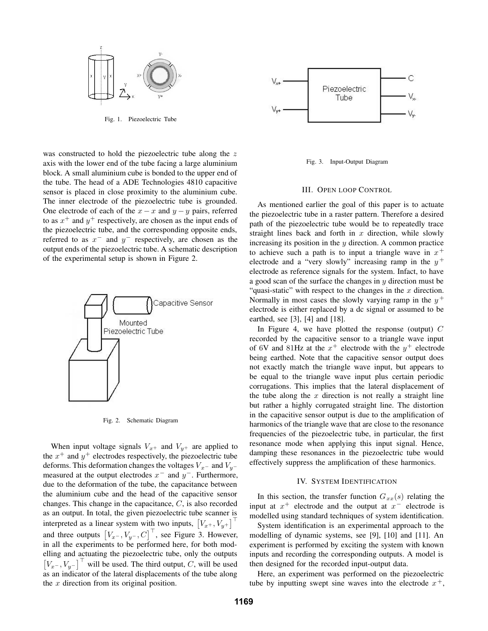

Fig. 1. Piezoelectric Tube

was constructed to hold the piezoelectric tube along the z axis with the lower end of the tube facing a large aluminium block. A small aluminium cube is bonded to the upper end of the tube. The head of a ADE Technologies 4810 capacitive sensor is placed in close proximity to the aluminium cube. The inner electrode of the piezoelectric tube is grounded. One electrode of each of the  $x - x$  and  $y - y$  pairs, referred to as  $x^+$  and  $y^+$  respectively, are chosen as the input ends of the piezoelectric tube, and the corresponding opposite ends, referred to as  $x^-$  and  $y^-$  respectively, are chosen as the output ends of the piezoelectric tube. A schematic description of the experimental setup is shown in Figure 2.



Fig. 2. Schematic Diagram

When input voltage signals  $V_{x+}$  and  $V_{y+}$  are applied to the  $x^{+}$  and  $y^{+}$  electrodes respectively, the piezoelectric tube deforms. This deformation changes the voltages  $V<sub>x</sub>$ − and  $V<sub>y</sub>$ − measured at the output electrodes  $x^-$  and  $y^-$ . Furthermore, due to the deformation of the tube, the capacitance between the aluminium cube and the head of the capacitive sensor changes. This change in the capacitance, C, is also recorded as an output. In total, the given piezoelectric tube scanner is interpreted as a linear system with two inputs,  $[V_x, V_y]$ and three outputs  $[V_{x-}, V_{y-}, C]$ , see Figure 3. However, in all the experiments to be performed here, for both modelling and actuating the piezoelectric tube, only the outputs  $[V_x, V_y, V_y]$ <sup>'</sup> will be used. The third output, C, will be used as an indicator of the lateral displacements of the tube along the  $x$  direction from its original position.



Fig. 3. Input-Output Diagram

## III. OPEN LOOP CONTROL

As mentioned earlier the goal of this paper is to actuate the piezoelectric tube in a raster pattern. Therefore a desired path of the piezoelectric tube would be to repeatedly trace straight lines back and forth in  $x$  direction, while slowly increasing its position in the  $y$  direction. A common practice to achieve such a path is to input a triangle wave in  $x^+$ electrode and a "very slowly" increasing ramp in the  $y^+$ electrode as reference signals for the system. Infact, to have a good scan of the surface the changes in  $y$  direction must be "quasi-static" with respect to the changes in the  $x$  direction. Normally in most cases the slowly varying ramp in the  $y^+$ electrode is either replaced by a dc signal or assumed to be earthed, see [3], [4] and [18].

In Figure 4, we have plotted the response (output)  $C$ recorded by the capacitive sensor to a triangle wave input of 6V and 81Hz at the  $x^+$  electrode with the  $y^+$  electrode being earthed. Note that the capacitive sensor output does not exactly match the triangle wave input, but appears to be equal to the triangle wave input plus certain periodic corrugations. This implies that the lateral displacement of the tube along the  $x$  direction is not really a straight line but rather a highly corrugated straight line. The distortion in the capacitive sensor output is due to the amplification of harmonics of the triangle wave that are close to the resonance frequencies of the piezoelectric tube, in particular, the first resonance mode when applying this input signal. Hence, damping these resonances in the piezoelectric tube would effectively suppress the amplification of these harmonics.

#### IV. SYSTEM IDENTIFICATION

In this section, the transfer function  $G_{xx}(s)$  relating the input at  $x^+$  electrode and the output at  $x^-$  electrode is modelled using standard techniques of system identification.

System identification is an experimental approach to the modelling of dynamic systems, see [9], [10] and [11]. An experiment is performed by exciting the system with known inputs and recording the corresponding outputs. A model is then designed for the recorded input-output data.

Here, an experiment was performed on the piezoelectric tube by inputting swept sine waves into the electrode  $x^+$ ,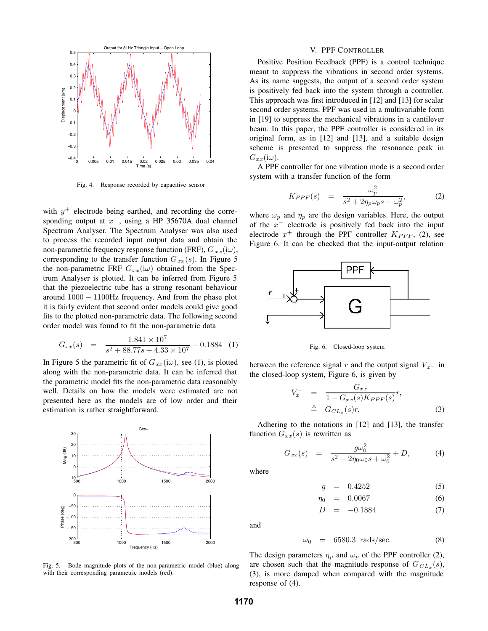

Fig. 4. Response recorded by capacitive sensor

with  $y^{+}$  electrode being earthed, and recording the corresponding output at  $x^-$ , using a HP 35670A dual channel Spectrum Analyser. The Spectrum Analyser was also used to process the recorded input output data and obtain the non-parametric frequency response function (FRF),  $G_{xx}(i\omega)$ , corresponding to the transfer function  $G_{xx}(s)$ . In Figure 5 the non-parametric FRF  $G_{xx}(i\omega)$  obtained from the Spectrum Analyser is plotted. It can be inferred from Figure 5 that the piezoelectric tube has a strong resonant behaviour around <sup>1000</sup> <sup>−</sup> <sup>1100</sup>Hz frequency. And from the phase plot it is fairly evident that second order models could give good fits to the plotted non-parametric data. The following second order model was found to fit the non-parametric data

$$
G_{xx}(s) = \frac{1.841 \times 10^7}{s^2 + 88.77s + 4.33 \times 10^7} - 0.1884 \quad (1)
$$

In Figure 5 the parametric fit of  $G_{xx}(i\omega)$ , see (1), is plotted along with the non-parametric data. It can be inferred that the parametric model fits the non-parametric data reasonably well. Details on how the models were estimated are not presented here as the models are of low order and their estimation is rather straightforward.



Fig. 5. Bode magnitude plots of the non-parametric model (blue) along with their corresponding parametric models (red).

## V. PPF CONTROLLER

Positive Position Feedback (PPF) is a control technique meant to suppress the vibrations in second order systems. As its name suggests, the output of a second order system is positively fed back into the system through a controller. This approach was first introduced in [12] and [13] for scalar second order systems. PPF was used in a multivariable form in [19] to suppress the mechanical vibrations in a cantilever beam. In this paper, the PPF controller is considered in its original form, as in [12] and [13], and a suitable design scheme is presented to suppress the resonance peak in  $G_{xx}$ (i $\omega$ ).

A PPF controller for one vibration mode is a second order system with a transfer function of the form

$$
K_{PPP}(s) = \frac{\omega_p^2}{s^2 + 2\eta_p \omega_p s + \omega_p^2},
$$
 (2)

where  $\omega_p$  and  $\eta_p$  are the design variables. Here, the output of the  $x^-$  electrode is positively fed back into the input electrode  $x^+$  through the PPF controller  $K_{PPP}$ , (2), see Figure 6. It can be checked that the input-output relation



Fig. 6. Closed-loop system

between the reference signal r and the output signal  $V<sub>x</sub>$ − in the closed-loop system, Figure 6, is given by

$$
V_x^- = \frac{G_{xx}}{1 - G_{xx}(s)K_{PPP}(s)}r,
$$
  
\n
$$
\triangleq G_{CL_x}(s)r.
$$
 (3)

Adhering to the notations in [12] and [13], the transfer function  $G_{xx}(s)$  is rewritten as

$$
G_{xx}(s) = \frac{g\omega_0^2}{s^2 + 2\eta_0\omega_0 s + \omega_0^2} + D,\tag{4}
$$

where

$$
g = 0.4252 \tag{5}
$$

$$
\eta_0 = 0.0067 \tag{6}
$$

$$
D = -0.1884 \tag{7}
$$

and

$$
\omega_0 = 6580.3 \text{ rads/sec.} \tag{8}
$$

The design parameters  $\eta_p$  and  $\omega_p$  of the PPF controller (2), are chosen such that the magnitude response of  $G_{CL_x}(s)$ , (3), is more damped when compared with the magnitude response of (4).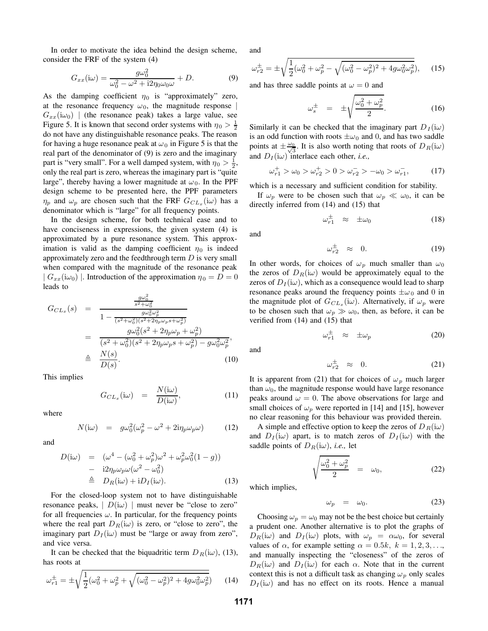In order to motivate the idea behind the design scheme, consider the FRF of the system (4)

$$
G_{xx}(\mathbf{i}\omega) = \frac{g\omega_0^2}{\omega_0^2 - \omega^2 + \mathbf{i}2\eta_0\omega_0\omega} + D. \tag{9}
$$

As the damping coefficient  $\eta_0$  is "approximately" zero, at the resonance frequency  $\omega_0$ , the magnitude response  $G_{xx}(i\omega_0)$  (the resonance peak) takes a large value, see Figure 5. It is known that second order systems with  $\eta_0 > \frac{1}{2}$ do not have any distinguishable resonance peaks. The reason for having a huge resonance peak at  $\omega_0$  in Figure 5 is that the real part of the denominator of (9) is zero and the imaginary part is "very small". For a well damped system, with  $\eta_0 > \frac{1}{2}$ , only the real part is zero, whereas the imaginary part is "quite large", thereby having a lower magnitude at  $\omega_0$ . In the PPF design scheme to be presented here, the PPF parameters  $\eta_p$  and  $\omega_p$  are chosen such that the FRF  $G_{CL_x}(\omega)$  has a denominator which is "large" for all frequency points.

In the design scheme, for both technical ease and to have conciseness in expressions, the given system  $(4)$  is approximated by a pure resonance system. This approximation is valid as the damping coefficient  $\eta_0$  is indeed approximately zero and the feedthrough term  $D$  is very small when compared with the magnitude of the resonance peak  $| G_{xx}(i\omega_0) |$ . Introduction of the approximation  $\eta_0 = D = 0$ leads to

$$
G_{CL_x}(s) = \frac{\frac{g\omega_0^2}{s^2 + \omega_0^2}}{1 - \frac{g\omega_0^2\omega_p^2}{(s^2 + \omega_0^2)(s^2 + 2\eta_p\omega_p s + \omega_p^2)}}
$$
  
= 
$$
\frac{g\omega_0^2(s^2 + 2\eta_p\omega_p + \omega_p^2)}{(s^2 + \omega_0^2)(s^2 + 2\eta_p\omega_p s + \omega_p^2) - g\omega_0^2\omega_p^2},
$$
  

$$
\triangleq \frac{N(s)}{D(s)}.
$$
 (10)

This implies

$$
G_{CL_x}(\mathrm{i}\omega) = \frac{N(\mathrm{i}\omega)}{D(\mathrm{i}\omega)},\tag{11}
$$

where

$$
N(i\omega) = g\omega_0^2(\omega_p^2 - \omega^2 + 2i\eta_p\omega_p\omega)
$$
 (12)

and

$$
D(i\omega) = (\omega^4 - (\omega_0^2 + \omega_p^2)\omega^2 + \omega_p^2\omega_0^2(1 - g))
$$
  
- i2 $\eta_p\omega_p\omega(\omega^2 - \omega_0^2)$   

$$
\triangleq D_R(i\omega) + iD_I(i\omega).
$$
 (13)

For the closed-loop system not to have distinguishable resonance peaks,  $|D(i\omega)|$  must never be "close to zero" for all frequencies  $\omega$ . In particular, for the frequency points where the real part  $D_R(i\omega)$  is zero, or "close to zero", the imaginary part  $D_I(i\omega)$  must be "large or away from zero", and vice versa.

It can be checked that the biquadritic term  $D_R(i\omega)$ , (13), has roots at

$$
\omega_{r1}^{\pm} = \pm \sqrt{\frac{1}{2}(\omega_0^2 + \omega_p^2 + \sqrt{(\omega_0^2 - \omega_p^2)^2 + 4g\omega_0^2\omega_p^2})}
$$
 (14)

and

$$
\omega_{r2}^{\pm} = \pm \sqrt{\frac{1}{2} (\omega_0^2 + \omega_p^2 - \sqrt{(\omega_0^2 - \omega_p^2)^2 + 4g\omega_0^2 \omega_p^2})},\qquad(15)
$$

and has three saddle points at  $\omega = 0$  and

$$
\omega_s^{\pm} = \pm \sqrt{\frac{\omega_0^2 + \omega_p^2}{2}}.
$$
 (16)

Similarly it can be checked that the imaginary part  $D_I(i\omega)$ is an odd function with roots  $\pm \omega_0$  and 0, and has two saddle points at  $\pm \frac{\omega_0}{\sqrt{3}}$ . It is also worth noting that roots of  $D_R(i\omega)$ and  $D_I(i\omega)$  interlace each other, *i.e.*,

$$
\omega_{r1}^+ > \omega_0 > \omega_{r2}^+ > 0 > \omega_{r2}^- > -\omega_0 > \omega_{r1}^-, \tag{17}
$$

which is a necessary and sufficient condition for stability.

If  $\omega_p$  were to be chosen such that  $\omega_p \ll \omega_0$ , it can be directly inferred from (14) and (15) that

$$
\omega_{r1}^{\pm} \approx \pm \omega_0 \tag{18}
$$

and

$$
\omega_{r2}^{\pm} \approx 0. \tag{19}
$$

In other words, for choices of  $\omega_p$  much smaller than  $\omega_0$ the zeros of  $D_R(i\omega)$  would be approximately equal to the zeros of  $D_I(i\omega)$ , which as a consequence would lead to sharp resonance peaks around the frequency points  $\pm \omega_0$  and 0 in the magnitude plot of  $G_{CL_x}(i\omega)$ . Alternatively, if  $\omega_p$  were to be chosen such that  $\omega_p \gg \omega_0$ , then, as before, it can be verified from (14) and (15) that

$$
\omega_{r1}^{\pm} \approx \pm \omega_p \tag{20}
$$

and

$$
\omega_{r2}^{\pm} \approx 0. \tag{21}
$$

It is apparent from (21) that for choices of  $\omega_p$  much larger than  $\omega_0$ , the magnitude response would have large resonance peaks around  $\omega = 0$ . The above observations for large and small choices of  $\omega_p$  were reported in [14] and [15], however no clear reasoning for this behaviour was provided therein.

A simple and effective option to keep the zeros of  $D_R(i\omega)$ and  $D_I(i\omega)$  apart, is to match zeros of  $D_I(i\omega)$  with the saddle points of  $D_R(i\omega)$ , *i.e.*, let

$$
\sqrt{\frac{\omega_0^2 + \omega_p^2}{2}} = \omega_0, \tag{22}
$$

which implies,

$$
\omega_p = \omega_0. \tag{23}
$$

Choosing  $\omega_p = \omega_0$  may not be the best choice but certainly a prudent one. Another alternative is to plot the graphs of  $D_R(i\omega)$  and  $D_I(i\omega)$  plots, with  $\omega_p = \alpha \omega_0$ , for several values of  $\alpha$ , for example setting  $\alpha = 0.5k, k = 1, 2, 3, \ldots$ and manually inspecting the "closeness" of the zeros of  $D_R(i\omega)$  and  $D_I(i\omega)$  for each  $\alpha$ . Note that in the current context this is not a difficult task as changing  $\omega_p$  only scales  $D_I(i\omega)$  and has no effect on its roots. Hence a manual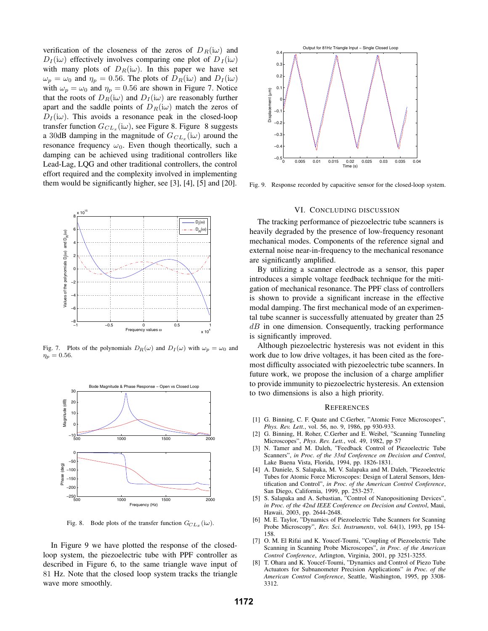verification of the closeness of the zeros of  $D_R(i\omega)$  and  $D_I(i\omega)$  effectively involves comparing one plot of  $D_I(i\omega)$ with many plots of  $D_R(i\omega)$ . In this paper we have set  $\omega_p = \omega_0$  and  $\eta_p = 0.56$ . The plots of  $D_R(i\omega)$  and  $D_I(i\omega)$ with  $\omega_p = \omega_0$  and  $\eta_p = 0.56$  are shown in Figure 7. Notice that the roots of  $D_R(i\omega)$  and  $D_I(i\omega)$  are reasonably further apart and the saddle points of  $D_R(i\omega)$  match the zeros of  $D_I(i\omega)$ . This avoids a resonance peak in the closed-loop transfer function  $G_{CL_x}(i\omega)$ , see Figure 8. Figure 8 suggests a 30dB damping in the magnitude of  $G_{CL_x}(\omega)$  around the resonance frequency  $\omega_0$ . Even though theortically, such a damping can be achieved using traditional controllers like Lead-Lag, LQG and other traditional controllers, the control effort required and the complexity involved in implementing them would be significantly higher, see [3], [4], [5] and [20].



Fig. 7. Plots of the polynomials  $D_R(\omega)$  and  $D_I(\omega)$  with  $\omega_p = \omega_0$  and  $\eta_p = 0.56$ .



Fig. 8. Bode plots of the transfer function  $G_{CL_x}$  (i $\omega$ ).

In Figure 9 we have plotted the response of the closedloop system, the piezoelectric tube with PPF controller as described in Figure 6, to the same triangle wave input of 81 Hz. Note that the closed loop system tracks the triangle wave more smoothly.



Fig. 9. Response recorded by capacitive sensor for the closed-loop system.

#### VI. CONCLUDING DISCUSSION

The tracking performance of piezoelectric tube scanners is heavily degraded by the presence of low-frequency resonant mechanical modes. Components of the reference signal and external noise near-in-frequency to the mechanical resonance are significantly amplified.

By utilizing a scanner electrode as a sensor, this paper introduces a simple voltage feedback technique for the mitigation of mechanical resonance. The PPF class of controllers is shown to provide a significant increase in the effective modal damping. The first mechanical mode of an experimental tube scanner is successfully attenuated by greater than 25  $dB$  in one dimension. Consequently, tracking performance is significantly improved.

Although piezoelectric hysteresis was not evident in this work due to low drive voltages, it has been cited as the foremost difficulty associated with piezoelectric tube scanners. In future work, we propose the inclusion of a charge amplifier to provide immunity to piezoelectric hysteresis. An extension to two dimensions is also a high priority.

## **REFERENCES**

- [1] G. Binning, C. F. Quate and C.Gerber, "Atomic Force Microscopes", *Phys. Rev. Lett.*, vol. 56, no. 9, 1986, pp 930-933.
- [2] G. Binning, H. Roher, C.Gerber and E. Weibel, "Scanning Tunneling Microscopes", *Phys. Rev. Lett.*, vol. 49, 1982, pp 57
- [3] N. Tamer and M. Daleh, "Feedback Control of Piezoelectric Tube Scanners", *in Proc. of the 33rd Conference on Decision and Control*, Lake Buena Vista, Florida, 1994, pp. 1826-1831.
- [4] A. Daniele, S. Salapaka, M. V. Salapaka and M. Daleh, "Piezoelectric Tubes for Atomic Force Microscopes: Design of Lateral Sensors, Identification and Control", *in Proc. of the American Control Conference*, San Diego, California, 1999, pp. 253-257.
- [5] S. Salapaka and A. Sebastian, "Control of Nanopositioning Devices", *in Proc. of the 42nd IEEE Conference on Decision and Control*, Maui, Hawaii, 2003, pp. 2644-2648.
- [6] M. E. Taylor, "Dynamics of Piezoelectric Tube Scanners for Scanning Probe Microscopy", *Rev. Sci. Instruments*, vol. 64(1), 1993, pp 154- 158.
- [7] O. M. El Rifai and K. Youcef-Toumi, "Coupling of Piezoelectric Tube Scanning in Scanning Probe Microscopes", *in Proc. of the American Control Conference*, Arlington, Virginia, 2001, pp 3251-3255.
- [8] T. Ohara and K. Youcef-Toumi, "Dynamics and Control of Piezo Tube Actuators for Subnanometer Precision Applications" *in Proc. of the American Control Conference*, Seattle, Washington, 1995, pp 3308- 3312.